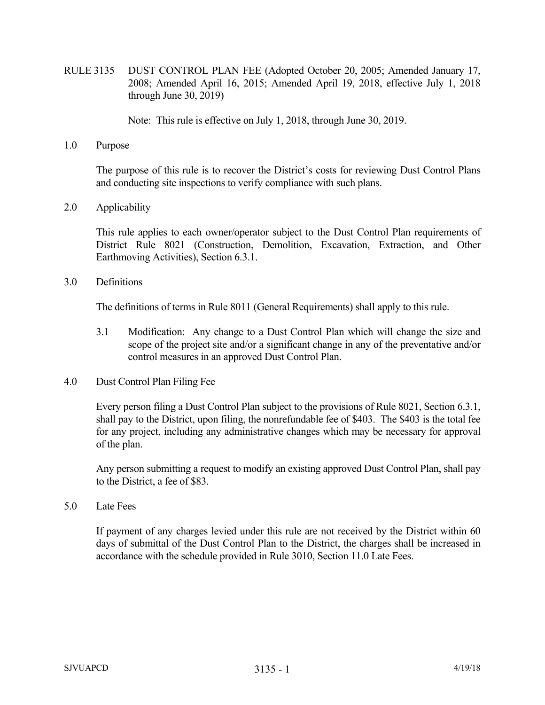RULE 3135 DUST CONTROL PLAN FEE (Adopted October 20, 2005; Amended January 17, 2008; Amended April 16, 2015; Amended April 19, 2018, effective July 1, 2018 through June 30, 2019)

Note: This rule is effective on July 1, 2018, through June 30, 2019.

1.0 Purpose

The purpose of this rule is to recover the District's costs for reviewing Dust Control Plans and conducting site inspections to verify compliance with such plans.

2.0 Applicability

 This rule applies to each owner/operator subject to the Dust Control Plan requirements of District Rule 8021 (Construction, Demolition, Excavation, Extraction, and Other Earthmoving Activities), Section 6.3.1.

3.0 Definitions

The definitions of terms in Rule 8011 (General Requirements) shall apply to this rule.

- 3.1 Modification: Any change to a Dust Control Plan which will change the size and scope of the project site and/or a significant change in any of the preventative and/or control measures in an approved Dust Control Plan.
- 4.0 Dust Control Plan Filing Fee

Every person filing a Dust Control Plan subject to the provisions of Rule 8021, Section 6.3.1, shall pay to the District, upon filing, the nonrefundable fee of \$403. The \$403 is the total fee for any project, including any administrative changes which may be necessary for approval of the plan.

Any person submitting a request to modify an existing approved Dust Control Plan, shall pay to the District, a fee of \$83.

5.0 Late Fees

 If payment of any charges levied under this rule are not received by the District within 60 days of submittal of the Dust Control Plan to the District, the charges shall be increased in accordance with the schedule provided in Rule 3010, Section 11.0 Late Fees.